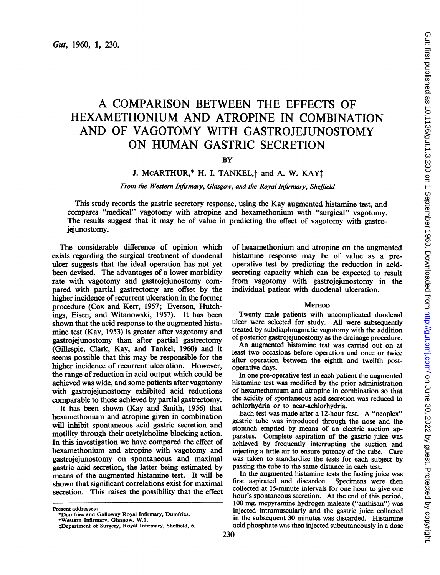# A COMPARISON BETWEEN THE EFFECTS OF HEXAMETHONIUM AND ATROPINE IN COMBINATION AND OF VAGOTOMY WITH GASTROJEJUNOSTOMY ON HUMAN GASTRIC SECRETION

## **BY**

# J. MCARTHUR,\* H. I. TANKEL,<sup>†</sup> and A. W. KAY<sup>†</sup>

### From the Western Infirmary, Glasgow, and the Royal Infirmary, Sheffield

This study records the gastric secretory response, using the Kay augmented histamine test, and compares "medical" vagotomy with atropine and hexamethonium with "surgical" vagotomy. The results suggest that it may be of value in predicting the effect of vagotomy with gastrojejunostomy.

The considerable difference of opinion which exists regarding the surgical treatment of duodenal ulcer suggests that the ideal operation has not yet been devised. The advantages of a lower morbidity rate with vagotomy and gastrojejunostomy compared with partial gastrectomy are offset by the higher incidence of recurrent ulceration in the former procedure (Cox and Kerr, 1957; Everson, Hutchings, Eisen, and Witanowski, 1957). It has been shown that the acid response to the augmented histamine test (Kay, 1953) is greater after vagotomy and gastrojejunostomy than after partial gastrectomy (Gillespie, Clark, Kay, and Tankel, 1960) and it seems possible that this may be responsible for the higher incidence of recurrent ulceration. However, the range of reduction in acid output which could be achieved was wide, and some patients after vagotomy with gastrojejunostomy exhibited acid reductions comparable to those achieved by partial gastrectomy.

It has been shown (Kay and Smith, 1956) that hexamethonium and atropine given in combination will inhibit spontaneous acid gastric secretion and motility through their acetylcholine blocking action. In this investigation we have compared the effect of hexamethonium and atropine with vagotomy and gastrojejunostomy on spontaneous and maximal gastric acid secretion, the latter being estimated by means of the augmented histamine test. It will be shown that significant correlations exist for maximal secretion. This raises the possibility that the effect

Present addresses:

of hexamethonium and atropine on the augmented histamine response may be of value as <sup>a</sup> preoperative test by predicting the reduction in acidsecreting capacity which can be expected to result from vagotomy with gastrojejunostomy in the individual patient with duodenal ulceration.

#### **METHOD**

Twenty male patients with uncomplicated duodenal ulcer were selected for study. All were subsequently treated by subdiaphragmatic vagotomy with the addition of posterior gastrojejunostomy as the drainage procedure.

An augmented histamine test was carried out on at least two occasions before operation and once or twice after operation between the eighth and twelfth postoperative days.

In one pre-operative test in each patient the augmented histamine test was modified by the prior administration of hexamethonium and atropine in combination so that the acidity of spontaneous acid secretion was reduced to achlorhydria or to near-achlorhydria.

Each test was made after <sup>a</sup> 12-hour fast. A "neoplex" gastric tube was introduced through the nose and the stomach emptied by means of an electric suction apparatus. Complete aspiration of the gastric juice was achieved by frequently interrupting the suction and injecting a little air to ensure patency of the tube. Care was taken to standardize the tests for each subject by passing the tube to the same distance in each test.

In the augmented histamine tests the fasting juice was first aspirated and discarded. Specimens were then collected at 15-minute intervals for one hour to give one hour's spontaneous secretion. At the end of this period, 100 mg. mepyramine hydrogen maleate ("anthisan") was injected intramuscularly and the gastric juice collected in the subsequent 30 minutes was discarded. Histamine acid phosphate was then injected subcutaneously in a dose

<sup>\*</sup>Dumfries and Galloway Royal Infirmary, Dumfries. tWestern Infirmary, Glasgow, W.1.

tDepartment of Surgery, Royal Infirmary, Sheffield, 6.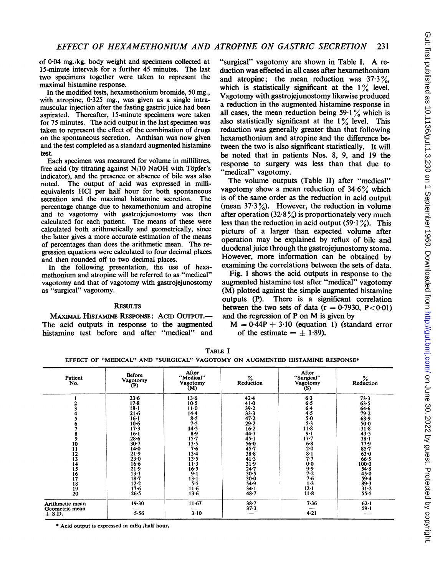of 004 mg./kg. body weight and specimens collected at 15-minute intervals for a further 45 minutes. The last two specimens together were taken to represent the maximal histamine response.

In the modified tests, hexamethonium bromide, 50mg., with atropine, 0-325 mg., was given as a single intramuscular injection after the fasting gastric juice had been aspirated. Thereafter, 15-minute specimens were taken for 75 minutes. The acid output in the last specimen was taken to represent the effect of the combination of drugs on the spontaneous secretion. Anthisan was now given and the test completed as a standard augmented histamine test.

Each specimen was measured for volume in millilitres, free acid (by titrating against N/10 NaOH with Topfer's indicator), and the presence or absence of bile was also noted. The output of acid was expressed in milliequivalents HCl per half hour for both spontaneous secretion and the maximal histamine secretion. The percentage change due to hexamethonium and atropine and to vagotomy with gastrojejunostomy was then calculated for each patient. The means of these were calculated both arithmetically and geometrically, since the latter gives a more accurate estimation of the means of percentages than does the arithmetic mean. The regression equations were calculated to four decimal places and then rounded off to two decimal places.

In the following presentation, the use of hexamethonium and atropine will be referred to as "medical" vagotomy and that of vagotomy with gastrojejunostomy as "surgical" vagotomy.

#### **RESULTS**

MAXIMAL HISTAMINE RESPONSE: ACID OUTPUT.-The acid outputs in response to the augmented histamine test before and after "medical" and

"surgical" vagotomy are shown in Table I. A reduction was effected in all cases after hexamethonium and atropine; the mean reduction was  $37.3\%$ , which is statistically significant at the  $1\%$  level. Vagotomy with gastrojejunostomy likewise produced a reduction in the augmented histamine response in all cases, the mean reduction being  $59.1\%$  which is also statistically significant at the  $1\%$  level. This reduction was generally greater than that following hexamethonium and atropine and the difference between the two is also significant statistically. It will be noted that in patients Nos. 8, 9, and 19 the response to surgery was less than that due to "medical" vagotomy.

The volume outputs (Table II) after "medical" vagotomy show a mean reduction of  $34.6\%$  which is of the same order as the reduction in acid output (mean  $37.3\%$ ). However, the reduction in volume after operation  $(32.8\%)$  is proportionately very much less than the reduction in acid output (59.1%). This picture of a larger than expected volume after operation may be explained by reflux of bile and duodenal juice through the gastrojejunostomy stoma. However, more information can be obtained by examining the correlations between the sets of data.

Fig. <sup>1</sup> shows the acid outputs in response to the augmented histamine test after "medical" vagotomy (M) plotted against the simple augmented histamine outputs (P). There is a significant correlation between the two sets of data  $(r = 0.7930, P < 0.01)$ and the regression of <sup>P</sup> on M is given by

 $M = 0.44P + 3.10$  (equation 1) (standard error of the estimate  $= \pm 1.89$ .

| Patient<br>No.                                                                          | Before<br>Vagotomy<br>(P)                                                                                              | After<br>"Medical"<br>Vagotomy<br>(M)                                                                     | $%$ Reduction                                                                                                    | After<br>"Surgical"<br>Vagotomy<br>(S)                                                      | $%$ Reduction                                                                                                        |
|-----------------------------------------------------------------------------------------|------------------------------------------------------------------------------------------------------------------------|-----------------------------------------------------------------------------------------------------------|------------------------------------------------------------------------------------------------------------------|---------------------------------------------------------------------------------------------|----------------------------------------------------------------------------------------------------------------------|
|                                                                                         | $23 - 6$<br>$17 - 8$<br>$18-1$<br>$21 - 6$<br>$16 - 1$<br>$10-6$<br>$17-3$<br>$16-1$                                   | $13-6$<br>$10-5$<br>$11-0$<br>$14 - 4$<br>$8-5$<br>7.5<br>14.5<br>8.9                                     | $42 - 4$<br>41.0<br>39.2<br>$33 - 3$<br>47.2<br>$29 - 2$<br>16.2<br>44.7                                         | 6.3<br>6.5<br>6.4<br>4.5<br>5.0<br>5.3<br>$11 - 8$<br>$9 - 1$                               | 73.3<br>63.5<br>$64 - 6$<br>79.2<br>$68 - 9$<br>$50 - 0$<br>$31-8$<br>43.5                                           |
| 8<br>9<br>$\frac{10}{11}$<br>$\frac{12}{13}$<br>14<br>15<br>$\frac{16}{17}$<br>18<br>19 | $28 - 6$<br>$30 - 7$<br>$14 - 0$<br>21.9<br>$23 - 0$<br>$16 - 6$<br>21.9<br>$13 - 1$<br>$18 - 7$<br>$12 - 2$<br>$17-6$ | $15 - 7$<br>13.5<br>7.6<br>$13 - 4$<br>13.5<br>$11-3$<br>16.5<br>$9 - 1$<br>$13 - 1$<br>$5 - 5$<br>$11-6$ | $45 - 1$<br>56.0<br>$45 - 7$<br>$38 - 8$<br>41.3<br>31.9<br>$24 - 7$<br>$30 - 5$<br>$30 - 0$<br>54.9<br>$34 - 1$ | $17 - 7$<br>$6 - 8$<br>$2-0$<br>$8-1$<br>7.7<br>$0-0$<br>9.9<br>7.2<br>7.6<br>$1-3$<br>12.1 | $38 - 1$<br>77.9<br>$85 - 7$<br>63.0<br>66.5<br>$100 - 0$<br>$54 - 8$<br>$45 - 0$<br>$59 - 4$<br>$\frac{89.3}{31.2}$ |
| 20<br>Arithmetic mean<br>Geometric mean<br>$\pm$ S.D.                                   | 26.5<br>19.30<br>5.56                                                                                                  | 13.6<br>$11 - 67$<br>$3 - 10$                                                                             | 48.7<br>$38 - 7$<br>$37 - 3$                                                                                     | $11-8$<br>7.36<br>4.21                                                                      | $55 - 5$<br>$62 - 1$<br>$59 - 1$                                                                                     |

TABLE <sup>I</sup> COTOMY ON AUGMENTED HISTAMINE BY

\*Acid output is expressed in mEq./half hour.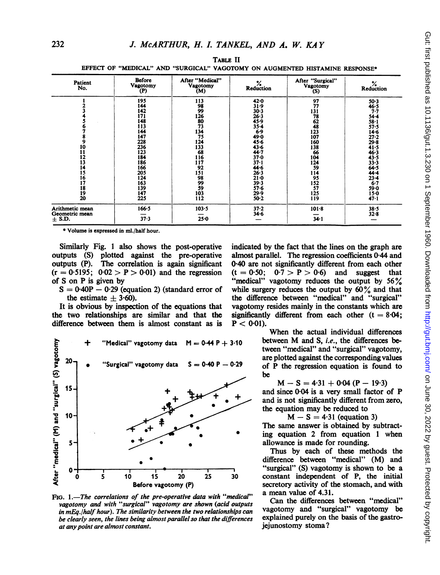| Patient<br>No.                                                      | <b>Before</b><br><b>Vagotomy</b><br>(P)                                                                                                  | After "Medical"<br>Vagotomy<br>(M)                                                                                             | ℅<br>Reduction                                                                                                                                                                                          | After "Surgical"<br>Vagotomy<br>(S)                                                                                             | ℅<br>Reduction                                                                                                                                                                                   |
|---------------------------------------------------------------------|------------------------------------------------------------------------------------------------------------------------------------------|--------------------------------------------------------------------------------------------------------------------------------|---------------------------------------------------------------------------------------------------------------------------------------------------------------------------------------------------------|---------------------------------------------------------------------------------------------------------------------------------|--------------------------------------------------------------------------------------------------------------------------------------------------------------------------------------------------|
| 9<br>10<br>11<br>12<br>13<br>14<br>15<br>16<br>17<br>18<br>19<br>20 | 195<br>144<br>142<br>171<br>148<br>113<br>144<br>147<br>228<br>236<br>123<br>184<br>186<br>166<br>205<br>124<br>163<br>139<br>147<br>225 | 113<br>98<br>99<br>126<br>80<br>73<br>134<br>75<br>124<br>133<br>68<br>116<br>117<br>92<br>151<br>98<br>99<br>59<br>103<br>112 | $42 - 0$<br>31.9<br>30.3<br>$26 - 3$<br>45.9<br>$35 - 4$<br>6.9<br>$49 - 0$<br>$45 - 6$<br>$43 - 6$<br>44.7<br>$37 - 0$<br>$37 - 1$<br>44.6<br>26.3<br>$21 - 0$<br>39.3<br>$57 - 6$<br>29.9<br>$50 - 2$ | 97<br>77<br>131<br>78<br>62<br>48<br>123<br>107<br>160<br>138<br>66<br>104<br>124<br>59<br>114<br>95<br>152<br>57<br>125<br>119 | $50-3$<br>46.5<br>$7 - 7$<br>$54 - 4$<br>$58 - 1$<br>57.5<br>$14 - 6$<br>$27 - 2$<br>$29 - 8$<br>41.5<br>46.3<br>43.5<br>$33 - 3$<br>64.5<br>44.4<br>$23 - 4$<br>6.7<br>59.0<br>$15 - 0$<br>47.1 |
| Arithmetic mean<br>Geometric mean<br>$\pm$ S.D.                     | 166.5<br>37.3                                                                                                                            | $103 - 5$<br>$25 - 0$                                                                                                          | $37 - 2$<br>$34 - 6$                                                                                                                                                                                    | $101 - 8$<br>$34 - 1$                                                                                                           | $38 - 5$<br>32.8                                                                                                                                                                                 |

TABLE II EFFECT OF "MEDICAL" AND "SURGICAL" VAGOTOMY ON AUGMENTED HISTAMINE RESPONSE\*

\* Volume is expressed in ml./half hour.

Similarly Fig. <sup>1</sup> also shows the post-operative outputs (S) plotted against the pre-operative outputs (P). The correlation is again significant  $(r = 0.5195; 0.02 > P > 0.01)$  and the regression of S on P is given by

 $S = 0.40P - 0.29$  (equation 2) (standard error of the estimate  $\pm$  3.60).

It is obvious by inspection of the equations that the two relationships are similar and that the difference between them is almost constant as is



FIG.  $1$ .-The correlations of the pre-operative data with "medical" vagotomy and with "surgical" vagotomy are shown (acid outputs in mEq./half hour). The similarity between the two relationships can be clearly seen, the lines being almost parallel so that the differences at anypoint are almost constant.

indicated by the fact that the lines on the graph are almost parallel. The regression coefficients 0-44 and 0.40 are not significantly different from each other  $(t = 0.50; 0.7 > P > 0.6)$  and suggest that "medical" vagotomy reduces the output by  $56\%$ while surgery reduces the output by  $60\%$  and that the difference between "medical" and "surgical" vagotomy resides mainly in the constants which are significantly different from each other  $(t = 8.04)$ :  $P < 0.01$ ).

When the actual individual differences between M and S, i.e., the differences between "medical" and "surgical" vagotomy, are plotted against the corresponding values of P the regression equation is found to be

 $M-S=4.31+0.04(P-19.3)$ 

and since 0.04 is <sup>a</sup> very small factor of P and is not significantly different from zero, the equation may be reduced to

 $M - S = 4.31$  (equation 3) The same answer is obtained by subtract ing equation 2 from equation 1 when allowance is made for rounding.

Thus by each of these methods the difference between "medical" (M) and "surgical" (S) vagotomy is shown to be a 0 constant independent of P, the initial secretory activity of the stomach, and with a mean value of 4.31.

> Can the differences between "medical" vagotomy and "surgical" vagotomy be explained purely on the basis of the gastrojejunostomy stoma?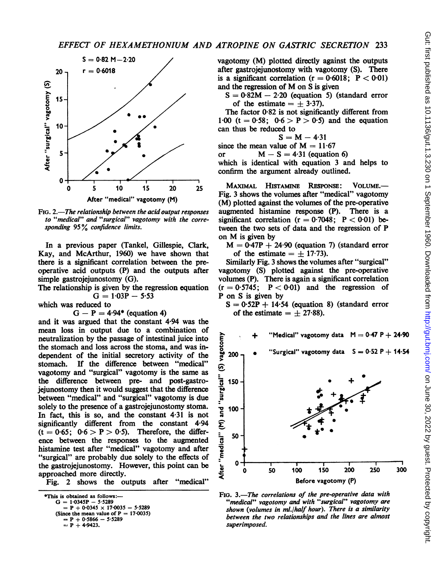

FIG. 2.—The relationship between the acid output responses to "medical" and "surgical" vagotomy with the corresponding 95% confidence limits.

Kay, and McArthur, 1960) we have shown that of the estimate =  $\pm$  17.73). In a previous paper (Tankel, Gillespie, Clark, there is a significant correlation between the preoperative acid outputs (P) and the outputs after simple gastrojejunostomy (G).

The relationship is given by the regression equation

which was reduced to

 $G - P = 4.94*$  (equation 4).

and it was argued that the constant 4'94 was the mean loss in output due to a combination of neutralization by the passage of intestinal juice into the stomach and loss across the stoma, and was independent of the initial secretory activity of the stomach. If the difference between "medical" vagotomy and "surgical" vagotomy is the same as the difference between pre- and post-gastrojejunostomy then it would suggest that the difference between "medical" and "surgical" vagotomy is due solely to the presence of a gastrojejunostomy stoma. In fact, this is so, and the constant 4-31 is not significantly different from the constant 4.94  $(t = 0.65; 0.6 > P > 0.5)$ . Therefore, the difference between the responses to the augmented histamine test after "medical" vagotomy and after "surgical" are probably due solely to the effects of the gastrojejunostomy. However, this point can be approached more directly.

Fig. 2 shows the outputs after "medical"

\*This is obtained as follows:- $G = 1.0345P - 5.5289$  $= P + 0.0345 \times 17.0035 - 5.5289$ (Since the mean value of P = 17.0035)<br>= P + 0.5866 - 5.5289

$$
= P + 0.5600
$$
  
= P + 4.9423.

 $S = 0.82 \text{ M} - 2.20$  vagotomy (M) plotted directly against the outputs  $r = 0.6018$  after gastrojejunostomy with vagotomy (S). There is a significant correlation  $(r = 0.6018; P < 0.01)$ and the regression of M on <sup>S</sup> is given

> $S = 0.82M - 2.20$  (equation 5) (standard error of the estimate  $= +3.37$ ).

The factor  $0.82$  is not significantly different from 1.00 (t = 0.58;  $0.6 > P > 0.5$ ) and the equation can thus be reduced to

 $S = M - 4.31$ 

since the mean value of  $M = 11.67$ <br>or  $M - S = 4.31$  (equation

 $M - S = 4.31$  (equation 6)

which is identical with equation 3 and helps to confirm the argument already outlined.

 $\frac{1}{5}$  10 15 20 25 MAXIMAL HISTAMINE RESPONSE: VOLUME.—<br>
Fig. 3 shows the volumes after "medical" vagotomy<br>
After "medical" vagotomy (M)  $(M)$  plotted against the volumes of the pre-operative augmented histamine response (P). There is a significant correlation ( $r = 0.7048$ ; P < 0.01) between the two sets of data and the regression of P on M is given by

 $M = 0.47P + 24.90$  (equation 7) (standard error of the estimate =  $\pm$  17.73).

Similarly Fig. 3 shows the volumes after "surgical" vagotomy (S) plotted against the pre-operative volumes (P). There is again a significant correlation is given by the regression equation (r = 0.5745; P < 0.01) and the regression of  $G = 1.03P - 5.53$  P on S is given by P on S is given by

 $S = 0.52P + 14.54$  (equation 8) (standard error of the estimate =  $\pm$  27.88).



FIG. 3.-The correlations of the pre-operative data with "medical" vagotomy and with "surgical" vagotomy are shown (volumes in ml./half hour). There is a similarity between the two relationships and the lines are almost superimposed.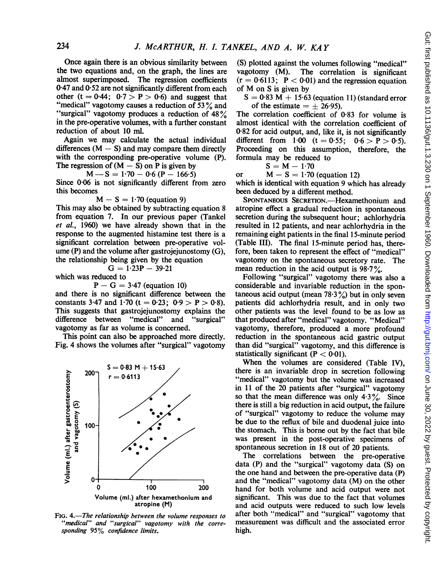Once again there is an obvious similarity between the two equations and, on the graph, the lines are almost superimposed. The regression coefficients 0.47 and 0.52 are not significantly different from each other (t =  $0.44$ ;  $0.7 > P > 0.6$ ) and suggest that "medical" vagotomy causes a reduction of 53 $\%$  and "surgical" vagotomy produces <sup>a</sup> reduction of <sup>48</sup> % in the pre-operative volumes, with a further constant reduction of about 10 ml.

Again we may calculate the actual individual differences  $(M - S)$  and may compare them directly with the corresponding pre-operative volume (P). The regression of  $(M - S)$  on P is given by

 $M-S = 1.70 - 0.6 (P - 166.5)$ 

Since 0-06 is not significantly different from zero this becomes

$$
M-S = 1.70 \text{ (equation 9)}
$$

This may also be obtained by subtracting equation <sup>8</sup> from equation 7. In our previous paper (Tankel et al., 1960) we have already shown that in the response to the augmented histamine test there is a significant correlation between pre-operative volume  $(P)$  and the volume after gastroiejunostomy  $(G)$ , the relationship being given by the equation

which was reduced to

 $P - G = 3.47$  (equation 10)

 $G = 1.23P - 39.21$ 

and there is no significant difference between the constants 3.47 and 1.70 (t = 0.23; 0.9 > P > 0.8). This suggests that gastrojejunostomy explains the difference between "medical" and "surgical" vagotomy as far as volume is concerned.

This point can also be approached more directly. Fig. 4 shows the volumes after "surgical" vagotomy



FIG. 4.—The relationship between the volume responses to "medical" and "surgical" vagotomy with the corresponding 95% confidence limits.

(S) plotted against the volumes following "medical"<br>vagotomy (M). The correlation is significant The correlation is significant  $(r = 0.6113; P < 0.01)$  and the regression equation of M on <sup>S</sup> is given by

 $S = 0.83$  M + 15.63 (equation 11) (standard error of the estimate  $= \pm 26.95$ ).

The correlation coefficient of 0.83 for volume is almost identical with the correlation coefficient of 0.82 for acid output, and, like it, is not significantly different from  $1.00$   $(t = 0.55; 0.6 > P > 0.5)$ . Proceeding on this assumption, therefore, the formula may be reduced to

$$
S = M - 1.70
$$

or  $M - S = 1.70$  (equation 12)

which is identical with equation 9 which has already been deduced by a different method.

SPONTANEOUS SECRETION.-Hexamethonium and atropine effect a gradual reduction in spontaneous secretion during the subsequent hour; achlorhydria resulted in 12 patients, and near achlorhydria in the remaining eight patients in the final 15-minute period (Table III). The final 15-minute period has, therefore, been taken to represent the effect of "medical" vagotomy on the spontaneous secretory rate. The mean reduction in the acid output is  $98.7\%$ .

Following "surgical" vagotomy there was also a considerable and invariable reduction in the spontaneous acid output (mean  $78.3\%$ ) but in only seven patients did achlorhydria result, and in only two other patients was the level found to be as low as that produced after "medical" vagotomy. "Medical" vagotomy, therefore, produced a more profound reduction in the spontaneous acid gastric output than did "surgical" vagotomy, and this difference is statistically significant  $(P < 0.01)$ .

When the volumes are considered (Table IV), there is an invariable drop in secretion following "medical" vagotomy but the volume was increased in <sup>11</sup> of the 20 patients after "surgical" vagotomy so that the mean difference was only  $4.3\%$ . Since there is still a big reduction in acid output, the failure of "surgical" vagotomy to reduce the volume may be due to the reflux of bile and duodenal juice into the stomach. This is borne out by the fact that bile was present in the post-operative specimens of spontaneous secretion in 18 out of 20 patients.

The correlations between the pre-operative data (P) and the "surgical" vagotomy data (S) on the one hand and between the pre-operative data (P) and the "medical" vagotomy data (M) on the other hand for both volume and acid output were not significant. This was due to the fact that volumes and acid outputs were reduced to such low levels after both "medical" and "surgical" vagotomy that measurement was difficult and the associated error high.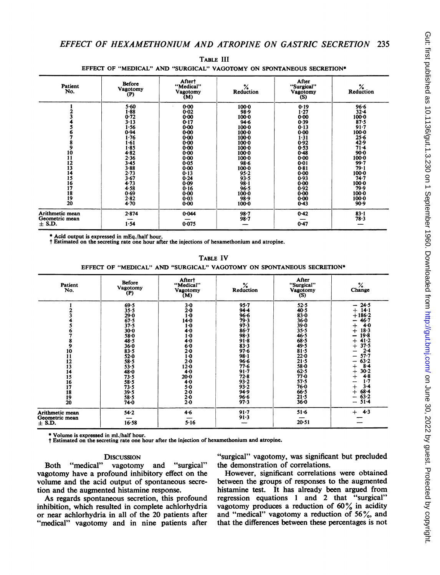| Patient<br>No.                                                                  | Before<br>Vagotomy<br>(P)                                                                                                                                                                    | After†<br>"Medical"<br>Vagotomy<br>(M)                                                                                                                                                                       | ℅<br>Reduction                                                                                                                                                                                                         | After<br>"Surgical"<br>Vagotomy<br>(S)                                                                                                                                                           | $%$ Reduction                                                                                                                                                                                                     |
|---------------------------------------------------------------------------------|----------------------------------------------------------------------------------------------------------------------------------------------------------------------------------------------|--------------------------------------------------------------------------------------------------------------------------------------------------------------------------------------------------------------|------------------------------------------------------------------------------------------------------------------------------------------------------------------------------------------------------------------------|--------------------------------------------------------------------------------------------------------------------------------------------------------------------------------------------------|-------------------------------------------------------------------------------------------------------------------------------------------------------------------------------------------------------------------|
| 8<br>9<br>10<br>11<br>12<br>13<br>14<br>15<br>16<br>17<br>$\frac{18}{19}$<br>20 | $5 - 60$<br>$1 - 88$<br>0.72<br>$3 - 13$<br>1.56<br>0.94<br>1.76<br>$1 - 61$<br>$1 - 85$<br>4.82<br>2.36<br>$3 - 45$<br>$3 - 88$<br>2.73<br>$3 - 67$<br>4.73<br>4.58<br>0.69<br>2.82<br>4.70 | $0 - 00$<br>$0 - 02$<br>$0 - 00$<br>0.17<br>$0 - 00$<br>$0 - 00$<br>$0 - 00$<br>$0 - 00$<br>0.00<br>0.00<br>$0 - 00$<br>0.05<br>$0 - 00$<br>0.13<br>0.24<br>0.09<br>0.16<br>$0 - 00$<br>$0 - 03$<br>$0 - 00$ | $100 - 0$<br>98.9<br>$100 - 0$<br>94.6<br>100.0<br>$100 - 0$<br>$100 - 0$<br>$100 - 0$<br>$100 - 0$<br>100.0<br>$100-0$<br>$98 - 6$<br>$100 - 0$<br>$95 - 2$<br>93.5<br>$98 - 1$<br>96.5<br>100.0<br>98.9<br>$100 - 0$ | 0.19<br>$1 - 27$<br>0.00<br>0.39<br>0.13<br>$0 - 00$<br>1.31<br>0.92<br>0.53<br>0.48<br>$0 - 00$<br>$0 - 01$<br>0.81<br>$0 - 00$<br>0.93<br>$0 - 00$<br>0.92<br>$0 - 00$<br>$0 - 00$<br>$0 - 43$ | 96.6<br>$32 - 4$<br>$100 - 0$<br>87.5<br>$91 - 7$<br>$100 - 0$<br>$25 - 6$<br>42.9<br>$71 - 4$<br>$90 - 0$<br>$100 - 0$<br>99.7<br>$79 - 1$<br>$100-0$<br>74.7<br>$100 - 0$<br>79.9<br>100.0<br>$100 - 0$<br>90.9 |
| Arithmetic mean<br>Geometric mean<br>$\pm$ S.D.                                 | $2 - 874$<br>1.54                                                                                                                                                                            | 0.044<br>0.075                                                                                                                                                                                               | $98 - 7$<br>$98 - 7$                                                                                                                                                                                                   | 0.42<br>0.47                                                                                                                                                                                     | $83 - 1$<br>78.3                                                                                                                                                                                                  |

TABLE III EFFECT OF "MEDICAL" AND "SURGICAL" VAGOTOMY ON SPONTANEOUS SECRETION\*

\* Acid output is expressed in mEq./half hour. t Estimated on the secreting rate one hour after the injections of hexamethonium and atropine.

TABLE IV EFFECT OF "MEDICAL" AND "SURGICAL" VAGOTOMY ON SPONTANEOUS SECRETION\*

| Patient<br>No.                                                                  | Before<br>Vagotomy<br>(P)                                                                                                                                                                            | After†<br>"Medical"<br>Vagotomy<br>(M)                                                                                                                                                      | $%$<br>Reduction                                                                                                                                                                                                 | After<br>"Surgical"<br>Vagotomy<br>(S)                                                                                                                                                               | $\frac{\%}{\%}$                                                                                                                                                                                                                                   |
|---------------------------------------------------------------------------------|------------------------------------------------------------------------------------------------------------------------------------------------------------------------------------------------------|---------------------------------------------------------------------------------------------------------------------------------------------------------------------------------------------|------------------------------------------------------------------------------------------------------------------------------------------------------------------------------------------------------------------|------------------------------------------------------------------------------------------------------------------------------------------------------------------------------------------------------|---------------------------------------------------------------------------------------------------------------------------------------------------------------------------------------------------------------------------------------------------|
| 8<br>9<br>10<br>11<br>12<br>$\frac{13}{14}$<br>15<br>16<br>17<br>18<br>19<br>20 | 69.5<br>$35 - 5$<br>29.0<br>67.5<br>$37 - 5$<br>$30 - 0$<br>58.0<br>48.5<br>$36 - 0$<br>$83 - 5$<br>$52 - 0$<br>$58 - 5$<br>$53 - 5$<br>48-0<br>73.5<br>$58 - 5$<br>73.5<br>39.5<br>$58 - 5$<br>74.0 | $3-0$<br>$2 - 0$<br>$1-0$<br>$14 - 0$<br>$1-0$<br>$4 - 0$<br>$1-0$<br>4.0<br>6.0<br>$2 - 0$<br>$1-0$<br>$2 - 0$<br>12.0<br>4.0<br>$20 - 0$<br>$4-0$<br>5.0<br>$2 - 0$<br>$2 - 0$<br>$2 - 0$ | $95 - 7$<br>$94 - 4$<br>$96 - 6$<br>79.3<br>97.3<br>$86 - 7$<br>98.3<br>$91 - 8$<br>$83 - 3$<br>$97 - 6$<br>$98 - 1$<br>$96 - 6$<br>77.6<br>$91 - 7$<br>$72 - 8$<br>$93 - 2$<br>$93 - 2$<br>94.9<br>96.6<br>97.3 | $52 - 5$<br>40.5<br>$83 - 0$<br>$36 - 0$<br>$39 - 0$<br>$35 - 5$<br>46.5<br>$68 - 5$<br>49.5<br>81.5<br>$22 - 0$<br>$21 - 5$<br>58-0<br>62.5<br>77.0<br>57.5<br>76.0<br>66.5<br>$21 - 5$<br>$36 - 0$ | $-24.5$<br>$14 - 1$<br>$^{+}$<br>$+186-2$<br>$46 - 7$<br>4.0<br>┿<br>18.3<br>$19 - 8$<br>$41 - 2$<br>37.5<br>2.4<br>$57 - 7$<br>63.2<br>$8-4$<br>$30 - 2$<br>$4 - 8$<br>┿<br>1.7<br>$3 - 4$<br>$\ddot{}$<br>$68 - 4$<br>$63 - 2$<br>$51 - 4$<br>- |
| Arithmetic mean<br>Geometric mean<br>$\pm$ S.D.                                 | 54.2<br>16.58                                                                                                                                                                                        | $4 - 6$<br>5.16                                                                                                                                                                             | $91 - 7$<br>91.3                                                                                                                                                                                                 | $51 - 6$<br>$20 - 51$                                                                                                                                                                                | $+ 4.3$                                                                                                                                                                                                                                           |

\* Volume is expressed in ml./half hour.

<sup>t</sup> Estimated on the secreting rate one hour after the injection of hexamethonium and atropine.

#### **DISCUSSION**

Both "medical" vagotomy and "surgical" vagotomy have a profound inhibitory effect on the volume and the acid output of spontaneous secretion and the augmented histamine response.

As regards spontaneous secretion, this profound inhibition, which resulted in complete achlorhydria or near achlorhydria in all of the 20 patients after "medical" vagotomy and in nine patients after

"surgical" vagotomy, was significant but precluded the demonstration of correlations.

However, significant correlations were obtained between the groups of responses to the augmented histamine test. It has already been argued from regression equations <sup>1</sup> and 2 that "surgical" vagotomy produces a reduction of 60% in acidity and "medical" vagotomy a reduction of 56%, and that the differences between these percentages is not